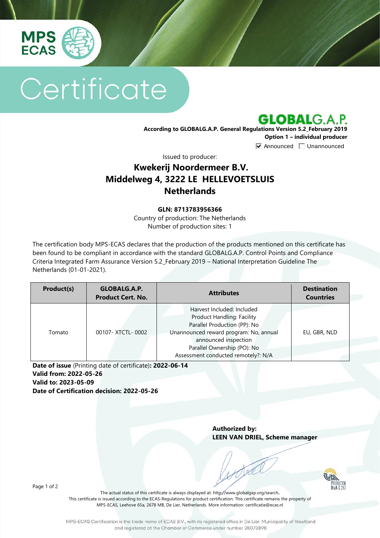

# Certificate

**GLOBALG.A.P.** 

**According to GLOBALG.A.P. General Regulations Version 5.2\_February 2019 Option 1 – individual producer**  $\nabla$  Announced  $\nabla$  Unannounced

Issued to producer:

# **Kwekerij Noordermeer B.V. Middelweg 4, 3222 LE HELLEVOETSLUIS Netherlands**

#### **GLN: 8713783956366**

Country of production: The Netherlands Number of production sites: 1

The certification body MPS-ECAS declares that the production of the products mentioned on this certificate has been found to be compliant in accordance with the standard GLOBALG.A.P. Control Points and Compliance Criteria Integrated Farm Assurance Version 5.2\_February 2019 – National Interpretation Guideline The Netherlands (01-01-2021).

| Product(s) | GLOBALG.A.P.<br><b>Product Cert. No.</b> | <b>Attributes</b>                                                                                                                                                                                                                | <b>Destination</b><br><b>Countries</b> |
|------------|------------------------------------------|----------------------------------------------------------------------------------------------------------------------------------------------------------------------------------------------------------------------------------|----------------------------------------|
| Tomato     | 00107-XTCTL-0002                         | Harvest Included: Included<br>Product Handling: Facility<br>Parallel Production (PP): No<br>Unannounced reward program: No, annual<br>announced inspection<br>Parallel Ownership (PO): No<br>Assessment conducted remotely?: N/A | EU, GBR, NLD                           |

**Date of issue** (Printing date of certificate)**: 2022-06-14 Valid from: 2022-05-26 Valid to: 2023-05-09 Date of Certification decision: 2022-05-26**

> **Authorized by: LEEN VAN DRIEL, Scheme manager**

> > $Rv\Delta$   $\Gamma$   $21$

Page 1 of 2

The actual status of this certificate is always displayed at: <http://www.globalgap.org/search>**.**  This certificate is issued according to the ECAS-Regulations for product certification. This certificate remains the property of MPS-ECAS, Leehove 65a, 2678 MB, De Lier, Netherlands. More information[: certificatie@ecas.nl](mailto:certificatie@ecas.nl)